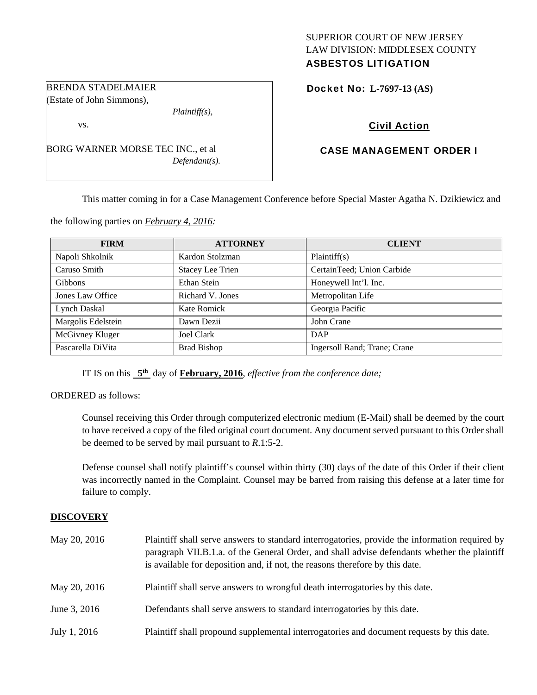## SUPERIOR COURT OF NEW JERSEY LAW DIVISION: MIDDLESEX COUNTY ASBESTOS LITIGATION

Docket No: **L-7697-13 (AS)** 

# Civil Action

# CASE MANAGEMENT ORDER I

This matter coming in for a Case Management Conference before Special Master Agatha N. Dzikiewicz and

the following parties on *February 4, 2016:* 

| <b>FIRM</b>        | <b>ATTORNEY</b>         | <b>CLIENT</b>                |
|--------------------|-------------------------|------------------------------|
| Napoli Shkolnik    | Kardon Stolzman         | Plaintiff(s)                 |
| Caruso Smith       | <b>Stacey Lee Trien</b> | CertainTeed; Union Carbide   |
| <b>Gibbons</b>     | Ethan Stein             | Honeywell Int'l. Inc.        |
| Jones Law Office   | Richard V. Jones        | Metropolitan Life            |
| Lynch Daskal       | <b>Kate Romick</b>      | Georgia Pacific              |
| Margolis Edelstein | Dawn Dezii              | John Crane                   |
| McGivney Kluger    | <b>Joel Clark</b>       | DAP                          |
| Pascarella DiVita  | <b>Brad Bishop</b>      | Ingersoll Rand; Trane; Crane |

IT IS on this **5th** day of **February, 2016**, *effective from the conference date;*

ORDERED as follows:

Counsel receiving this Order through computerized electronic medium (E-Mail) shall be deemed by the court to have received a copy of the filed original court document. Any document served pursuant to this Order shall be deemed to be served by mail pursuant to *R*.1:5-2.

Defense counsel shall notify plaintiff's counsel within thirty (30) days of the date of this Order if their client was incorrectly named in the Complaint. Counsel may be barred from raising this defense at a later time for failure to comply.

## **DISCOVERY**

| May 20, 2016 | Plaintiff shall serve answers to standard interrogatories, provide the information required by<br>paragraph VII.B.1.a. of the General Order, and shall advise defendants whether the plaintiff<br>is available for deposition and, if not, the reasons therefore by this date. |
|--------------|--------------------------------------------------------------------------------------------------------------------------------------------------------------------------------------------------------------------------------------------------------------------------------|
| May 20, 2016 | Plaintiff shall serve answers to wrongful death interrogatories by this date.                                                                                                                                                                                                  |
| June 3, 2016 | Defendants shall serve answers to standard interrogatories by this date.                                                                                                                                                                                                       |
| July 1, 2016 | Plaintiff shall propound supplemental interrogatories and document requests by this date.                                                                                                                                                                                      |

BRENDA STADELMAIER (Estate of John Simmons),

vs.

BORG WARNER MORSE TEC INC., et al *Defendant(s).* 

*Plaintiff(s),*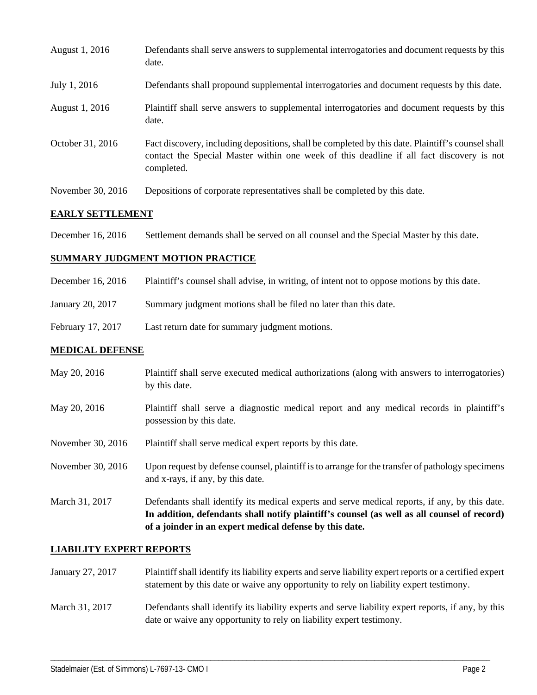| August 1, 2016    | Defendants shall serve answers to supplemental interrogatories and document requests by this<br>date.                                                                                                       |
|-------------------|-------------------------------------------------------------------------------------------------------------------------------------------------------------------------------------------------------------|
| July 1, 2016      | Defendants shall propound supplemental interrogatories and document requests by this date.                                                                                                                  |
| August 1, 2016    | Plaintiff shall serve answers to supplemental interrogatories and document requests by this<br>date.                                                                                                        |
| October 31, 2016  | Fact discovery, including depositions, shall be completed by this date. Plaintiff's counsel shall<br>contact the Special Master within one week of this deadline if all fact discovery is not<br>completed. |
| November 30, 2016 | Depositions of corporate representatives shall be completed by this date.                                                                                                                                   |

## **EARLY SETTLEMENT**

December 16, 2016 Settlement demands shall be served on all counsel and the Special Master by this date.

#### **SUMMARY JUDGMENT MOTION PRACTICE**

- December 16, 2016 Plaintiff's counsel shall advise, in writing, of intent not to oppose motions by this date.
- January 20, 2017 Summary judgment motions shall be filed no later than this date.
- February 17, 2017 Last return date for summary judgment motions.

#### **MEDICAL DEFENSE**

- May 20, 2016 Plaintiff shall serve executed medical authorizations (along with answers to interrogatories) by this date.
- May 20, 2016 Plaintiff shall serve a diagnostic medical report and any medical records in plaintiff's possession by this date.
- November 30, 2016 Plaintiff shall serve medical expert reports by this date.
- November 30, 2016 Upon request by defense counsel, plaintiff is to arrange for the transfer of pathology specimens and x-rays, if any, by this date.
- March 31, 2017 Defendants shall identify its medical experts and serve medical reports, if any, by this date. **In addition, defendants shall notify plaintiff's counsel (as well as all counsel of record) of a joinder in an expert medical defense by this date.**

#### **LIABILITY EXPERT REPORTS**

- January 27, 2017 Plaintiff shall identify its liability experts and serve liability expert reports or a certified expert statement by this date or waive any opportunity to rely on liability expert testimony.
- March 31, 2017 Defendants shall identify its liability experts and serve liability expert reports, if any, by this date or waive any opportunity to rely on liability expert testimony.

\_\_\_\_\_\_\_\_\_\_\_\_\_\_\_\_\_\_\_\_\_\_\_\_\_\_\_\_\_\_\_\_\_\_\_\_\_\_\_\_\_\_\_\_\_\_\_\_\_\_\_\_\_\_\_\_\_\_\_\_\_\_\_\_\_\_\_\_\_\_\_\_\_\_\_\_\_\_\_\_\_\_\_\_\_\_\_\_\_\_\_\_\_\_\_\_\_\_\_\_\_\_\_\_\_\_\_\_\_\_